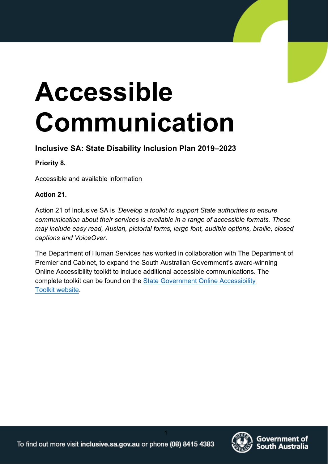# **Accessible Communication**

#### **Inclusive SA: State Disability Inclusion Plan 2019–2023**

#### **Priority 8.**

Accessible and available information

#### **Action 21.**

Action 21 of Inclusive SA is *'Develop a toolkit to support State authorities to ensure communication about their services is available in a range of accessible formats. These may include easy read, Auslan, pictorial forms, large font, audible options, braille, closed captions and VoiceOver*.

The Department of Human Services has worked in collaboration with The Department of Premier and Cabinet, to expand the South Australian Government's award-winning Online Accessibility toolkit to include additional accessible communications. The complete toolkit can be found on the [State Government Online Accessibility](https://www.accessibility.sa.gov.au/) [Toolkit website.](https://www.accessibility.sa.gov.au/)

1

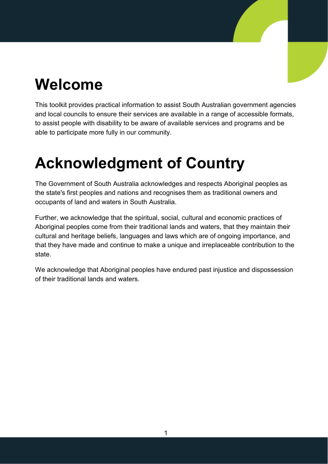## <span id="page-1-0"></span>**Welcome**

This toolkit provides practical information to assist South Australian government agencies and local councils to ensure their services are available in a range of accessible formats, to assist people with disability to be aware of available services and programs and be able to participate more fully in our community.

## <span id="page-1-1"></span>**Acknowledgment of Country**

The Government of South Australia acknowledges and respects Aboriginal peoples as the state's first peoples and nations and recognises them as traditional owners and occupants of land and waters in South Australia.

Further, we acknowledge that the spiritual, social, cultural and economic practices of Aboriginal peoples come from their traditional lands and waters, that they maintain their cultural and heritage beliefs, languages and laws which are of ongoing importance, and that they have made and continue to make a unique and irreplaceable contribution to the state.

We acknowledge that Aboriginal peoples have endured past injustice and dispossession of their traditional lands and waters.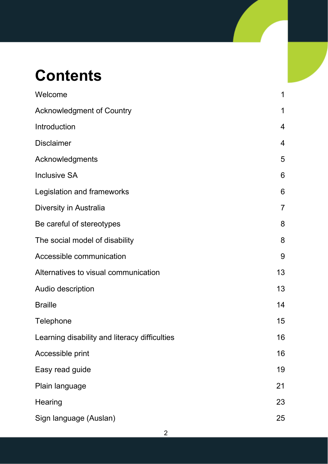## **Contents**

| Welcome                                       | 1              |
|-----------------------------------------------|----------------|
| <b>Acknowledgment of Country</b>              | 1              |
| Introduction                                  | 4              |
| <b>Disclaimer</b>                             | 4              |
| Acknowledgments                               | 5              |
| <b>Inclusive SA</b>                           | 6              |
| Legislation and frameworks                    | 6              |
| Diversity in Australia                        | $\overline{7}$ |
| Be careful of stereotypes                     | 8              |
| The social model of disability                | 8              |
| Accessible communication                      | 9              |
| Alternatives to visual communication          | 13             |
| Audio description                             | 13             |
| <b>Braille</b>                                | 14             |
| Telephone                                     | 15             |
| Learning disability and literacy difficulties | 16             |
| Accessible print                              | 16             |
| Easy read guide                               | 19             |
| Plain language                                | 21             |
| Hearing                                       | 23             |
| Sign language (Auslan)                        | 25             |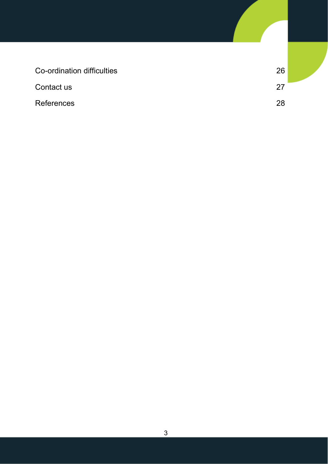| Co-ordination difficulties | 26 |  |
|----------------------------|----|--|
| Contact us                 | 27 |  |
| <b>References</b>          | 28 |  |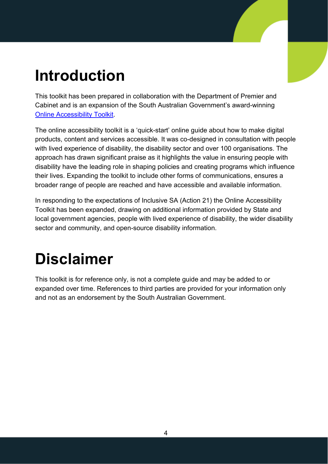## <span id="page-4-0"></span>**Introduction**

This toolkit has been prepared in collaboration with the Department of Premier and Cabinet and is an expansion of the South Australian Government's award-winning [Online Accessibility Toolkit.](https://www.accessibility.sa.gov.au/)

The online accessibility toolkit is a 'quick-start' online guide about how to make digital products, content and services accessible. It was co-designed in consultation with people with lived experience of disability, the disability sector and over 100 organisations. The approach has drawn significant praise as it highlights the value in ensuring people with disability have the leading role in shaping policies and creating programs which influence their lives. Expanding the toolkit to include other forms of communications, ensures a broader range of people are reached and have accessible and available information.

In responding to the expectations of Inclusive SA (Action 21) the Online Accessibility Toolkit has been expanded, drawing on additional information provided by State and local government agencies, people with lived experience of disability, the wider disability sector and community, and open-source disability information.

## <span id="page-4-1"></span>**Disclaimer**

This toolkit is for reference only, is not a complete guide and may be added to or expanded over time. References to third parties are provided for your information only and not as an endorsement by the South Australian Government.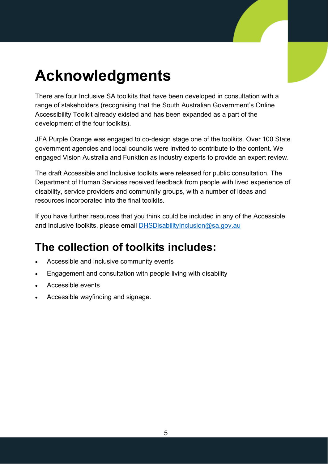## <span id="page-5-0"></span>**Acknowledgments**

There are four Inclusive SA toolkits that have been developed in consultation with a range of stakeholders (recognising that the South Australian Government's Online Accessibility Toolkit already existed and has been expanded as a part of the development of the four toolkits).

JFA Purple Orange was engaged to co-design stage one of the toolkits. Over 100 State government agencies and local councils were invited to contribute to the content. We engaged Vision Australia and Funktion as industry experts to provide an expert review.

The draft Accessible and Inclusive toolkits were released for public consultation. The Department of Human Services received feedback from people with lived experience of disability, service providers and community groups, with a number of ideas and resources incorporated into the final toolkits.

If you have further resources that you think could be included in any of the Accessible and Inclusive toolkits, please email [DHSDisabilityInclusion@sa.gov.au](mailto:DHSDisabilityInclusion@sa.gov.au)

### **The collection of toolkits includes:**

- Accessible and inclusive community events
- Engagement and consultation with people living with disability
- Accessible events
- Accessible wayfinding and signage.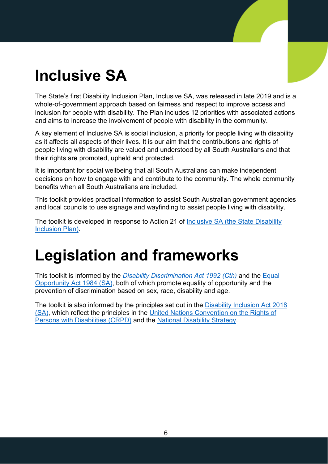## <span id="page-6-0"></span>**Inclusive SA**

The State's first Disability Inclusion Plan, Inclusive SA, was released in late 2019 and is a whole-of-government approach based on fairness and respect to improve access and inclusion for people with disability. The Plan includes 12 priorities with associated actions and aims to increase the involvement of people with disability in the community.

A key element of Inclusive SA is social inclusion, a priority for people living with disability as it affects all aspects of their lives. It is our aim that the contributions and rights of people living with disability are valued and understood by all South Australians and that their rights are promoted, upheld and protected.

It is important for social wellbeing that all South Australians can make independent decisions on how to engage with and contribute to the community. The whole community benefits when all South Australians are included.

This toolkit provides practical information to assist South Australian government agencies and local councils to use signage and wayfinding to assist people living with disability.

The toolkit is developed in response to Action 21 of Inclusive SA (the State Disability [Inclusion Plan\).](https://inclusive.sa.gov.au/resources/state-disability-inclusion-plan)

## <span id="page-6-1"></span>**Legislation and frameworks**

This toolkit is informed by the *[Disability Discrimination Act 1992 \(Cth\)](https://www.legislation.gov.au/Details/C2018C00125)* and the [Equal](https://www.legislation.sa.gov.au/LZ/C/A/EQUAL%20OPPORTUNITY%20ACT%201984.aspx)  [Opportunity Act 1984 \(SA\),](https://www.legislation.sa.gov.au/LZ/C/A/EQUAL%20OPPORTUNITY%20ACT%201984.aspx) both of which promote equality of opportunity and the prevention of discrimination based on sex, race, disability and age.

The toolkit is also informed by the principles set out in the Disability Inclusion Act 2018 [\(SA\),](https://www.legislation.sa.gov.au/LZ/C/A/Disability%20Inclusion%20Act%202018.aspx) which reflect the principles in the [United Nations Convention on the Rights of](https://www.un.org/development/desa/disabilities/convention-on-the-rights-of-persons-with-disabilities.html)  [Persons with Disabilities \(CRPD\)](https://www.un.org/development/desa/disabilities/convention-on-the-rights-of-persons-with-disabilities.html) and the [National Disability Strategy.](https://www.dss.gov.au/our-responsibilities/disability-and-carers/publications-articles/policy-research/national-disability-strategy-2010-2020)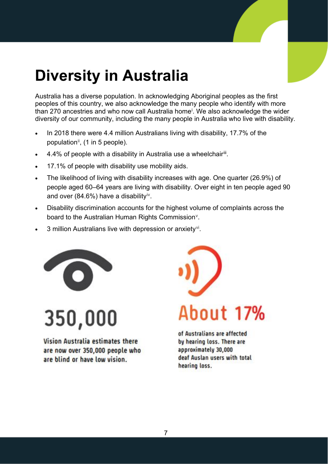## <span id="page-7-0"></span>**Diversity in Australia**

Australia has a diverse population. In acknowledging Aboriginal peoples as the first peoples of this country, we also acknowledge the many people who identify with more than 270 ancestr[i](#page-28-1)es and who now call Australia home<sup>i</sup>. We also acknowledge the wider diversity of our community, including the many people in Australia who live with disability.

- In 2018 there were 4.4 million Australians living with disability, 17.7% of the population<sup>ii</sup>, (1 in 5 people).
- 4.4% of people with a disability in Australia use a wheelchair[iii](#page-28-3).
- 17.1% of people with disability use mobility aids.
- The likelihood of living with disability increases with age. One quarter (26.9%) of people aged 60–64 years are living with disability. Over eight in ten people aged 90 and over (84.6%) have a disability<sup>[iv](#page-28-4)</sup>.
- Disability discrimination accounts for the highest volume of complaints across the board to the Australian Human Rights Commission<sup>[v](#page-28-5)</sup>.
- 3 million Australians live with depression or anxiety<sup>vi</sup>.



350,000

Vision Australia estimates there are now over 350,000 people who are blind or have low vision.



of Australians are affected by hearing loss. There are approximately 30,000 deaf Auslan users with total hearing loss.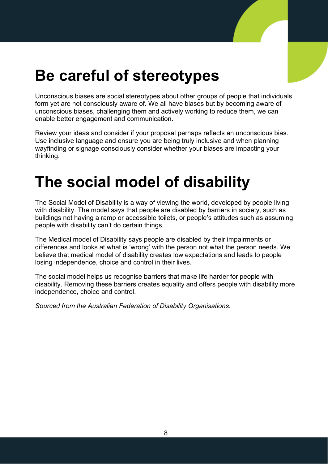## <span id="page-8-0"></span>**Be careful of stereotypes**

Unconscious biases are social stereotypes about other groups of people that individuals form yet are not consciously aware of. We all have biases but by becoming aware of unconscious biases, challenging them and actively working to reduce them, we can enable better engagement and communication.

Review your ideas and consider if your proposal perhaps reflects an unconscious bias. Use inclusive language and ensure you are being truly inclusive and when planning wayfinding or signage consciously consider whether your biases are impacting your thinking.

## <span id="page-8-1"></span>**The social model of disability**

The Social Model of Disability is a way of viewing the world, developed by people living with disability. The model says that people are disabled by barriers in society, such as buildings not having a ramp or accessible toilets, or people's attitudes such as assuming people with disability can't do certain things.

The Medical model of Disability says people are disabled by their impairments or differences and looks at what is 'wrong' with the person not what the person needs. We believe that medical model of disability creates low expectations and leads to people losing independence, choice and control in their lives.

The social model helps us recognise barriers that make life harder for people with disability. Removing these barriers creates equality and offers people with disability more independence, choice and control.

*Sourced from the Australian Federation of Disability Organisations.*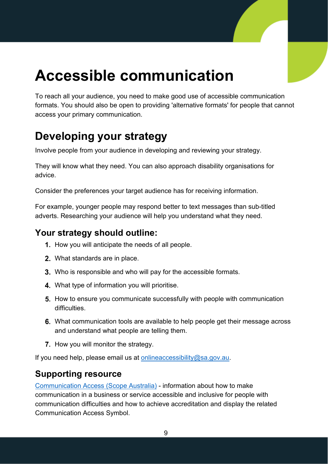## <span id="page-9-0"></span>**Accessible communication**

To reach all your audience, you need to make good use of accessible communication formats. You should also be open to providing 'alternative formats' for people that cannot access your primary communication.

### **Developing your strategy**

Involve people from your audience in developing and reviewing your strategy.

They will know what they need. You can also approach disability organisations for advice.

Consider the preferences your target audience has for receiving information.

For example, younger people may respond better to text messages than sub-titled adverts. Researching your audience will help you understand what they need.

#### **Your strategy should outline:**

- 1. How you will anticipate the needs of all people.
- What standards are in place.
- 3. Who is responsible and who will pay for the accessible formats.
- 4. What type of information you will prioritise.
- **5.** How to ensure you communicate successfully with people with communication difficulties.
- What communication tools are available to help people get their message across and understand what people are telling them.
- **7.** How you will monitor the strategy.

If you need help, please email us at [onlineaccessibility@sa.gov.au.](mailto:onlineaccessibility@sa.gov.au)

#### **Supporting resource**

[Communication Access \(Scope Australia\)](https://www.scopeaust.org.au/services-for-organisations/access-and-inclusion-for-businesses/communication-access/) - information about how to make communication in a business or service accessible and inclusive for people with communication difficulties and how to achieve accreditation and display the related Communication Access Symbol.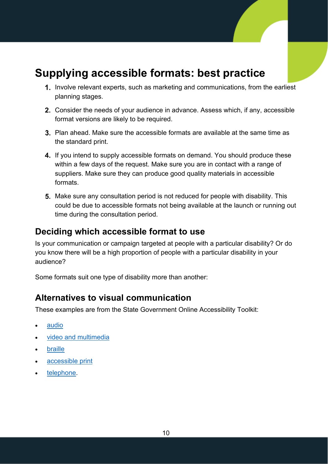#### **Supplying accessible formats: best practice**

- 1. Involve relevant experts, such as marketing and communications, from the earliest planning stages.
- 2. Consider the needs of your audience in advance. Assess which, if any, accessible format versions are likely to be required.
- **3.** Plan ahead. Make sure the accessible formats are available at the same time as the standard print.
- 4. If you intend to supply accessible formats on demand. You should produce these within a few days of the request. Make sure you are in contact with a range of suppliers. Make sure they can produce good quality materials in accessible formats.
- **5.** Make sure any consultation period is not reduced for people with disability. This could be due to accessible formats not being available at the launch or running out time during the consultation period.

#### **Deciding which accessible format to use**

Is your communication or campaign targeted at people with a particular disability? Or do you know there will be a high proportion of people with a particular disability in your audience?

Some formats suit one type of disability more than another:

#### **Alternatives to visual communication**

These examples are from the State Government Online Accessibility Toolkit:

- [audio](https://www.accessibility.sa.gov.au/your-role/content/audio)
- [video and multimedia](https://www.accessibility.sa.gov.au/your-role/content/video-and-multimedia)
- **[braille](https://www.accessibility.sa.gov.au/your-role/content/braille)**
- [accessible print](https://www.accessibility.sa.gov.au/your-role/content/documents/accessible-print-publications)
- [telephone.](https://www.accessibility.sa.gov.au/your-role/content/telephone)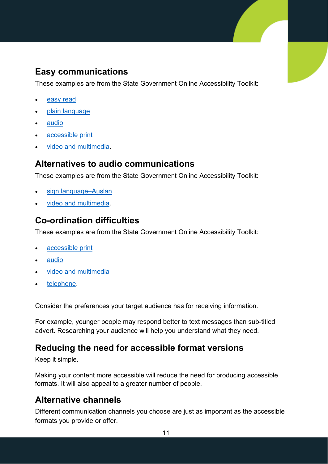#### **Easy communications**

These examples are from the State Government Online Accessibility Toolkit:

- [easy read](https://www.accessibility.sa.gov.au/your-role/content/easy-read-guide)
- [plain language](https://www.accessibility.sa.gov.au/your-role/content/plain-language)
- [audio](https://www.accessibility.sa.gov.au/your-role/content/audio)
- [accessible print](https://www.accessibility.sa.gov.au/your-role/content/documents/accessible-print-publications)
- [video and multimedia.](https://www.accessibility.sa.gov.au/your-role/content/video-and-multimedia)

#### **Alternatives to audio communications**

These examples are from the State Government Online Accessibility Toolkit:

- [sign language–Auslan](https://www.accessibility.sa.gov.au/your-role/content/sign-language-auslan)
- [video and multimedia.](https://www.accessibility.sa.gov.au/your-role/content/video-and-multimedia)

#### **Co-ordination difficulties**

These examples are from the State Government Online Accessibility Toolkit:

- [accessible print](https://www.accessibility.sa.gov.au/your-role/content/documents/accessible-print-publications)
- [audio](https://www.accessibility.sa.gov.au/your-role/content/audio)
- [video and multimedia](https://www.accessibility.sa.gov.au/your-role/content/video-and-multimedia)
- [telephone.](https://www.accessibility.sa.gov.au/your-role/content/telephone)

Consider the preferences your target audience has for receiving information.

For example, younger people may respond better to text messages than sub-titled advert. Researching your audience will help you understand what they need.

#### **Reducing the need for accessible format versions**

Keep it simple.

[Making your content more accessible](https://www.accessibility.sa.gov.au/your-role/content) will reduce the need for producing accessible formats. It will also appeal to a greater number of people.

#### **Alternative channels**

Different communication channels you choose are just as important as the accessible formats you provide or offer.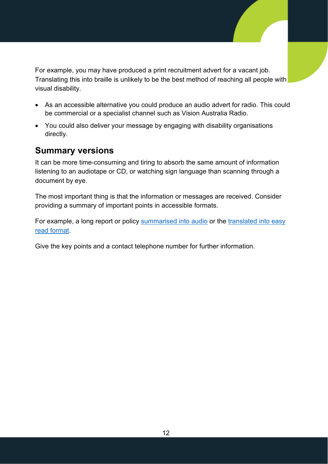For example, you may have produced a print recruitment advert for a vacant job. Translating this into braille is unlikely to be the best method of reaching all people with visual disability.

- As an accessible alternative you could produce an [audio advert for radio.](https://www.accessibility.sa.gov.au/your-role/content/audio) This could be commercial or a specialist channel such as [Vision Australia Radio.](https://radio.visionaustralia.org/)
- You could also deliver your message by engaging with disability organisations directly.

#### **Summary versions**

It can be more time-consuming and tiring to absorb the same amount of information listening to an audiotape or CD, or watching sign language than scanning through a document by eye.

The most important thing is that the information or messages are received. Consider providing a summary of important points in accessible formats.

For example, a long report or policy [summarised into audio](https://www.accessibility.sa.gov.au/your-role/content/audio) or the translated into easy [read format.](https://www.accessibility.sa.gov.au/your-role/content/easy-read-guide)

Give the key points and a contact telephone number for further information.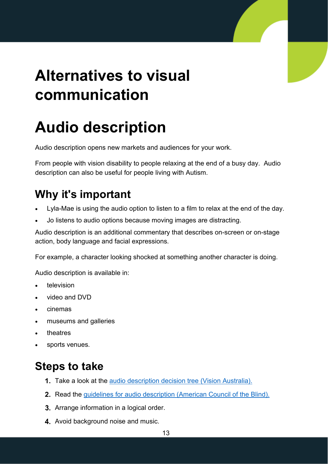## <span id="page-13-0"></span>**Alternatives to visual communication**

## <span id="page-13-1"></span>**Audio description**

Audio description opens new markets and audiences for your work.

From people with vision disability to people relaxing at the end of a busy day. Audio description can also be useful for people living with Autism.

### **Why it's important**

- Lyla-Mae is using the audio option to listen to a film to relax at the end of the day.
- Jo listens to audio options because moving images are distracting.

Audio description is an additional commentary that describes on-screen or on-stage action, body language and facial expressions.

For example, a character looking shocked at something another character is doing.

Audio description is available in:

- **television**
- video and DVD
- cinemas
- museums and galleries
- theatres
- sports venues.

### **Steps to take**

- **1.** Take a look at the [audio description decision tree \(Vision Australia\).](https://www.visionaustralia.org/community/news/2019-07-30/wcag-confusion-around-audio-description)
- 2. Read the [guidelines for audio description \(American Council of the Blind\).](https://www.acb.org/adp/guidelines.html)
- **3.** Arrange information in a logical order.
- 4. Avoid background noise and music.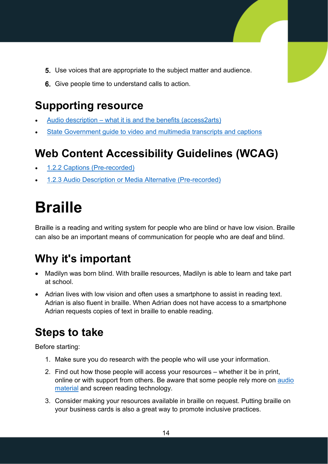- **5.** Use voices that are appropriate to the subject matter and audience.
- **6.** Give people time to understand calls to action.

### **Supporting resource**

- Audio description [what it is and the benefits \(access2arts\)](https://access2arts.org.au/organisations/audio-description)
- State Government guide to video and [multimedia transcripts and captions](https://www.accessibility.sa.gov.au/your-role/content/video-and-multimedia)

### **Web Content Accessibility Guidelines (WCAG)**

- [1.2.2 Captions \(Pre-recorded\)](https://www.w3.org/WAI/WCAG21/quickref/#captions-prerecorded)
- [1.2.3 Audio Description or Media Alternative \(Pre-recorded\)](https://www.w3.org/WAI/WCAG21/quickref/#audio-description-or-media-alternative-prerecorded)

## <span id="page-14-0"></span>**Braille**

Braille is a reading and writing system for people who are blind or have low vision. Braille can also be an important means of communication for people who are deaf and blind.

### **Why it's important**

- Madilyn was born blind. With braille resources, Madilyn is able to learn and take part at school.
- Adrian lives with low vision and often uses a smartphone to assist in reading text. Adrian is also fluent in braille. When Adrian does not have access to a smartphone Adrian requests copies of text in braille to enable reading.

### **Steps to take**

Before starting:

- 1. Make sure you do research with the people who will use your information.
- 2. Find out how those people will access your resources whether it be in print, online or with support from others. Be aware that some people rely more on [audio](https://www.accessibility.sa.gov.au/your-role/content/audio) [material](https://www.accessibility.sa.gov.au/your-role/content/audio) and screen reading technology.
- 3. Consider making your resources available in braille on request. Putting braille on your business cards is also a great way to promote inclusive practices.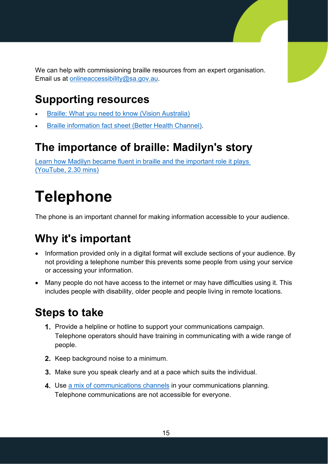We can help with commissioning braille resources from an expert organisation. Email us at [onlineaccessibility@sa.gov.au.](mailto:onlineaccessibility@sa.gov.au)

### **Supporting resources**

- [Braille: What you need to know \(Vision Australia\)](https://www.visionaustralia.org/community/news/2019-08-23/braille-what-you-need-know)
- [Braille information fact sheet \(Better Health Channel\).](https://www.betterhealth.vic.gov.au/health/conditionsandtreatments/braille?viewAsPdf=true)

#### **The importance of braille: Madilyn's story**

[Learn how Madilyn became fluent in braille and the important role it plays](https://www.youtube.com/watch?v=EOO_U7tNbLQ) [\(YouTube,](https://www.youtube.com/watch?v=EOO_U7tNbLQ) 2.30 mins)

## <span id="page-15-0"></span>**Telephone**

The phone is an important channel for making information accessible to your audience.

### **Why it's important**

- Information provided only in a digital format will exclude sections of your audience. By not providing a telephone number this prevents some people from using your service or accessing your information.
- Many people do not have access to the internet or may have difficulties using it. This includes people with disability, older people and people living in remote locations.

#### **Steps to take**

- 1. Provide a helpline or hotline to support your communications campaign. Telephone operators should have training in communicating with a wide range of people.
- 2. Keep background noise to a minimum.
- **3.** Make sure you speak clearly and at a pace which suits the individual.
- 4. Use [a mix of communications channels](https://www.accessibility.sa.gov.au/your-role/content) in your communications planning. Telephone communications are not accessible for everyone.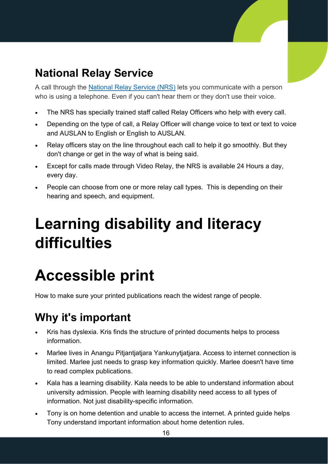### **National Relay Service**

A call through the [National Relay Service](https://www.communications.gov.au/what-we-do/phone/services-people-disability/accesshub/national-relay-service) (NRS) lets you communicate with a person who is using a telephone. Even if you can't hear them or they don't use their voice.

- The NRS has specially trained staff called Relay Officers who help with every call.
- Depending on the type of call, a Relay Officer will change voice to text or text to voice and AUSLAN to English or English to AUSLAN.
- Relay officers stay on the line throughout each call to help it go smoothly. But they don't change or get in the way of what is being said.
- Except for calls made through Video Relay, the NRS is available 24 Hours a day, every day.
- People can choose from one or more relay call types. This is depending on their hearing and speech, and equipment.

## <span id="page-16-0"></span>**Learning disability and literacy difficulties**

## <span id="page-16-1"></span>**Accessible print**

How to make sure your printed publications reach the widest range of people.

### **Why it's important**

- Kris has dyslexia. Kris finds the structure of printed documents helps to process information.
- Marlee lives in Anangu Pitjantjatjara Yankunytjatjara. Access to internet connection is limited. Marlee just needs to grasp key information quickly. Marlee doesn't have time to read complex publications.
- Kala has a learning disability. Kala needs to be able to understand information about university admission. People with learning disability need access to all types of information. Not just disability-specific information.
- Tony is on home detention and unable to access the internet. A printed guide helps Tony understand important information about home detention rules.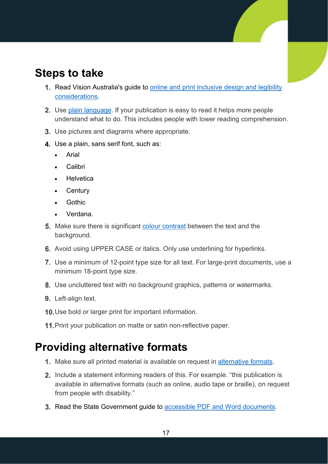#### **Steps to take**

- 1. Read Vision Australia's guide to online and print inclusive design and legibility [considerations.](https://www.visionaustralia.org/services/digital-access/blog/12-03-2014/online-and-print-inclusive-design-and-legibility-considerations)
- **2.** Use [plain language.](https://www.accessibility.sa.gov.au/your-role/content/plain-language) If your publication is easy to read it helps more people understand what to do. This includes people with lower reading comprehension.
- 3. Use pictures and diagrams where appropriate.
- 4. Use a plain, sans serif font, such as:
	- **Arial**
	- Calibri
	- **Helvetica**
	- **Century**
	- **Gothic**
	- Verdana.
- **5.** Make sure there is significant [colour contrast](https://www.accessibility.sa.gov.au/your-role/content/colour-and-contrast) between the text and the background.
- 6. Avoid using UPPER CASE or italics. Only use underlining for hyperlinks.
- Use a minimum of 12-point type size for all text. For large-print documents, use a minimum 18-point type size.
- 8. Use uncluttered text with no background graphics, patterns or watermarks.
- 9. Left-align text.
- 10. Use bold or larger print for important information.
- 11. Print your publication on matte or satin non-reflective paper.

#### **Providing alternative formats**

- 1. Make sure all printed material is available on request in [alternative formats.](https://www.accessibility.sa.gov.au/introduction/accessible-communication)
- 2. Include a statement informing readers of this. For example. "this publication is available in alternative formats (such as online, audio tape or braille), on request from people with disability."
- 3. Read the State Government guide to [accessible PDF and Word documents.](https://www.accessibility.sa.gov.au/documents)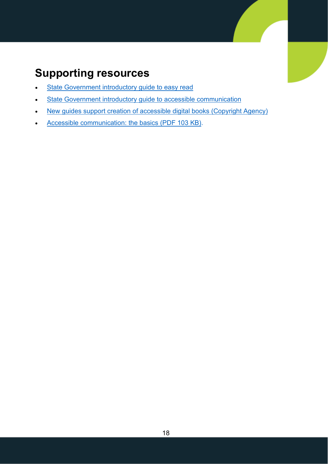### **Supporting resources**

- [State Government introductory guide to easy read](https://www.accessibility.sa.gov.au/introduction/easy-read)
- [State Government introductory guide to accessible communication](https://www.accessibility.sa.gov.au/introduction/accessible-communication)
- [New guides support creation of accessible digital books](https://www.copyright.com.au/2019/05/new-guides-support-creation-of-accessible-digital-books) (Copyright Agency)
- [Accessible communication: the basics \(](http://www.ndp.org.au/images/factsheets/NDP_Factsheet06.pdf)PDF 103 KB).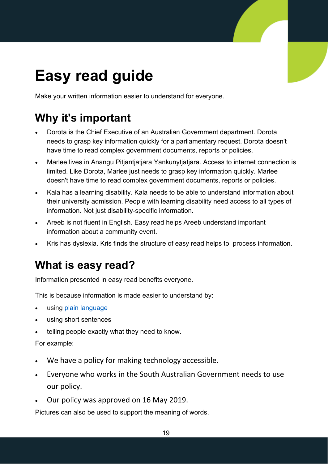## <span id="page-19-0"></span>**Easy read guide**

Make your written information easier to understand for everyone.

### **Why it's important**

- Dorota is the Chief Executive of an Australian Government department. Dorota needs to grasp key information quickly for a parliamentary request. Dorota doesn't have time to read complex government documents, reports or policies.
- Marlee lives in Anangu Pitjantjatjara Yankunytjatjara. Access to internet connection is limited. Like Dorota, Marlee just needs to grasp key information quickly. Marlee doesn't have time to read complex government documents, reports or policies.
- Kala has a learning disability. Kala needs to be able to understand information about their university admission. People with learning disability need access to all types of information. Not just disability-specific information.
- Areeb is not fluent in English. Easy read helps Areeb understand important information about a community event.
- Kris has dyslexia. Kris finds the structure of easy read helps to process information.

### **What is easy read?**

Information presented in easy read benefits everyone.

This is because information is made easier to understand by:

- using plain [language](https://www.accessibility.sa.gov.au/your-role/content/plain-language)
- using short sentences
- telling people exactly what they need to know.

#### For example:

- We have a policy for making technology accessible.
- Everyone who works in the South Australian Government needs to use our policy.
- Our policy was approved on 16 May 2019.

Pictures can also be used to support the meaning of words.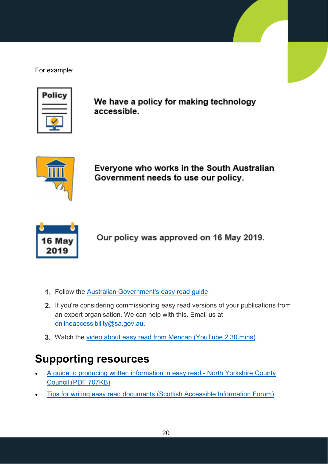For example:



We have a policy for making technology accessible.



Everyone who works in the South Australian Government needs to use our policy.



Our policy was approved on 16 May 2019.

- 1. Follow the [Australian Government's easy read guide.](https://www.stylemanual.gov.au/format-writing-and-structure/content-formats/easy-read)
- 2. If you're considering commissioning easy read versions of your publications from an expert organisation. We can help with this. Email us at [onlineaccessibility@sa.gov.au.](mailto:onlineaccessibility@sa.gov.au)
- 3. Watch the [video about easy read from Mencap](https://www.youtube.com/watch?v=CiPk02sOipE) (YouTube 2.30 mins).

### **Supporting resources**

- [A guide to producing written information in easy read North Yorkshire County](https://www.nypartnerships.org.uk/sites/default/files/Partnership%20files/Learning%20disabilities/Guide%20to%20easy%20read.pdf)  [Council \(PDF 707KB\)](https://www.nypartnerships.org.uk/sites/default/files/Partnership%20files/Learning%20disabilities/Guide%20to%20easy%20read.pdf)
- [Tips for writing easy read documents \(Scottish Accessible Information Forum\).](http://www.saifscotland.org.uk/information-and-advice/brief-guide-easy-read-documents/brief-guide-easy-read-top-tips/#sthash.uMc1RBOP.dpbs)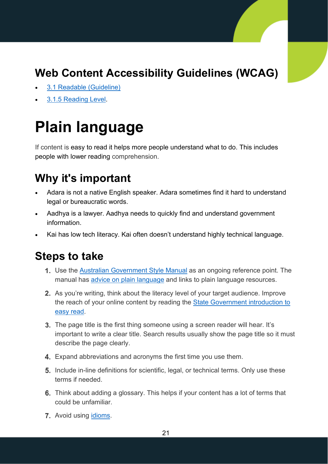### **Web Content Accessibility Guidelines (WCAG)**

- [3.1 Readable \(Guideline\)](https://www.w3.org/WAI/WCAG20/quickref/#meaning)
- <span id="page-21-0"></span>• [3.1.5 Reading Level.](https://www.w3.org/WAI/WCAG20/quickref/#meaning-supplements)

## **Plain language**

If content is easy to read it helps more people understand what to do. This includes people with lower reading comprehension.

#### **Why it's important**

- Adara is not a native English speaker. Adara sometimes find it hard to understand legal or bureaucratic words.
- Aadhya is a lawyer. Aadhya needs to quickly find and understand government information.
- Kai has low tech literacy. Kai often doesn't understand highly technical language.

#### **Steps to take**

- 1. Use the [Australian Government Style Manual](https://www.stylemanual.gov.au/) as an ongoing reference point. The manual has **[advice on plain language](https://www.stylemanual.gov.au/format-writing-and-structure/clear-language-and-writing-style/plain-language-and-word-choice)** and links to plain language resources.
- 2. As you're writing, think about the literacy level of your target audience. Improve the reach of your online content by reading the [State Government introduction to](https://www.accessibility.sa.gov.au/introduction/easy-read)  [easy read.](https://www.accessibility.sa.gov.au/introduction/easy-read)
- **3.** The page title is the first thing someone using a screen reader will hear. It's important to write a clear title. Search results usually show the page title so it must describe the page clearly.
- 4. Expand abbreviations and acronyms the first time you use them.
- **5.** Include in-line definitions for scientific, legal, or technical terms. Only use these terms if needed.
- Think about adding a glossary. This helps if your content has a lot of terms that could be unfamiliar.
- 7. Avoid using [idioms.](https://www.english-grammar-revolution.com/idiomatic-expressions.html)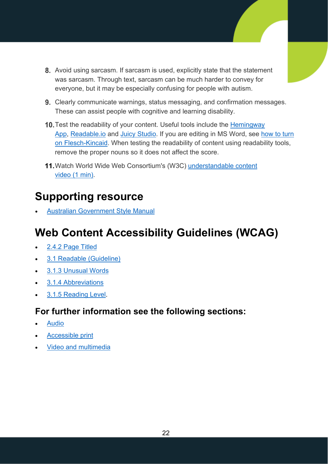- 8. Avoid using sarcasm. If sarcasm is used, explicitly state that the statement was sarcasm. Through text, sarcasm can be much harder to convey for everyone, but it may be especially confusing for people with autism.
- 9. Clearly communicate warnings, status messaging, and confirmation messages. These can assist people with cognitive and learning disability.
- 10. Test the readability of your content. Useful tools include the Hemingway [App,](http://www.hemingwayapp.com/) [Readable.io](https://readable.io/) and [Juicy Studio.](http://juicystudio.com/services/readability.php) If you are editing in MS Word, see [how to turn](https://guides.service.gov.au/content-guide/)  [on Flesch-Kincaid.](https://guides.service.gov.au/content-guide/) When testing the readability of content using readability tools, remove the proper nouns so it does not affect the score.
- 11. Watch World Wide Web Consortium's (W3C) [understandable content](https://www.w3.org/WAI/perspective-videos/understandable/) video [\(1 min\).](https://www.w3.org/WAI/perspective-videos/understandable/)

### **Supporting resource**

• [Australian Government Style Manual](https://www.stylemanual.gov.au/)

### **Web Content Accessibility Guidelines (WCAG)**

- [2.4.2 Page Titled](https://www.w3.org/WAI/WCAG20/quickref/#qr-navigation-mechanisms-title)
- [3.1 Readable \(Guideline\)](https://www.w3.org/WAI/WCAG20/quickref/#meaning)
- [3.1.3 Unusual Words](https://www.w3.org/WAI/WCAG20/quickref/#meaning-idioms)
- [3.1.4 Abbreviations](https://www.w3.org/WAI/WCAG20/quickref/#meaning-located)
- [3.1.5 Reading Level.](https://www.w3.org/WAI/WCAG20/quickref/#meaning-supplements)

#### **For further information see the following sections:**

- **[Audio](#page-23-1)**
- [Accessible print](#page-16-1)
- [Video and multimedia](#page-23-2)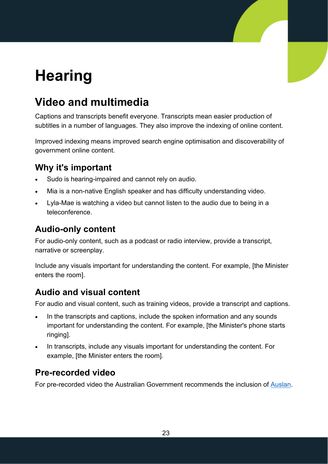## <span id="page-23-0"></span>**Hearing**

### <span id="page-23-2"></span>**Video and multimedia**

Captions and transcripts benefit everyone. Transcripts mean easier production of subtitles in a number of languages. They also improve the indexing of online content.

Improved indexing means improved search engine optimisation and discoverability of government online content.

#### **Why it's important**

- Sudo is hearing-impaired and cannot rely on audio.
- Mia is a non-native English speaker and has difficulty understanding video.
- Lyla-Mae is watching a video but cannot listen to the audio due to being in a teleconference.

#### **Audio-only content**

<span id="page-23-1"></span>For audio-only content, such as a podcast or radio interview, provide a transcript, narrative or screenplay.

Include any visuals important for understanding the content. For example, [the Minister enters the room].

#### **Audio and visual content**

For audio and visual content, such as training videos, provide a transcript and captions.

- In the transcripts and captions, include the spoken information and any sounds important for understanding the content. For example, [the Minister's phone starts ringing].
- In transcripts, include any visuals important for understanding the content. For example, [the Minister enters the room].

#### **Pre-recorded video**

For pre-recorded video the Australian Government recommends the inclusion of [Auslan.](https://www.accessibility.sa.gov.au/your-role/content/sign-language-auslan)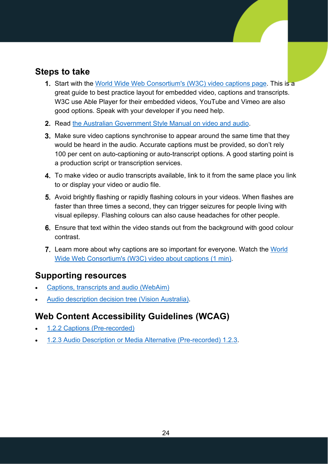#### **Steps to take**

- **1.** Start with the [World Wide Web Consortium's \(W3C\) video captions page.](https://www.w3.org/WAI/perspective-videos/captions/) This is a great guide to best practice layout for embedded video, captions and transcripts. W3C use [Able Player](https://ableplayer.github.io/ableplayer/) for their embedded videos, YouTube and Vimeo are also good options. Speak with your developer if you need help.
- 2. Read [the Australian Government Style Manual on video and audio.](https://www.stylemanual.gov.au/content-types/video-and-audio)
- **3.** Make sure video captions synchronise to appear around the same time that they would be heard in the audio. Accurate captions must be provided, so don't rely 100 per cent on auto-captioning or auto-transcript options. A good starting point is a production script or transcription services.
- 4. To make video or audio transcripts available, link to it from the same place you link to or display your video or audio file.
- **5.** Avoid brightly flashing or rapidly flashing colours in your videos. When flashes are faster than three times a second, they can trigger seizures for people living with visual epilepsy. Flashing colours can also cause headaches for other people.
- Ensure that text within the video stands out from the background with good colour contrast.
- **7.** Learn more about why captions are so important for everyone. Watch the World [Wide Web Consortium's \(W3C\) video about captions \(1 min\).](https://www.w3.org/WAI/perspective-videos/captions/)

#### **Supporting resources**

- [Captions, transcripts](https://webaim.org/techniques/captions/) and audio (WebAim)
- [Audio description decision tree \(Vision Australia\).](https://www.visionaustralia.org/community/news/2019-07-30/wcag-confusion-around-audio-description)

#### **Web Content Accessibility Guidelines (WCAG)**

- [1.2.2 Captions \(Pre-recorded\)](https://www.w3.org/WAI/WCAG21/quickref/#captions-prerecorded)
- [1.2.3 Audio Description or Media Alternative \(Pre-recorded\) 1.2.3.](https://www.w3.org/WAI/WCAG21/quickref/#audio-description-or-media-alternative-prerecorded)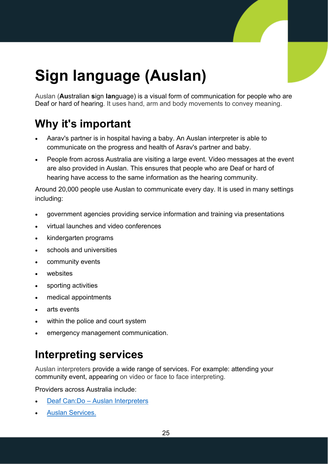## <span id="page-25-0"></span>**Sign language (Auslan)**

Auslan (**Au**stralian **s**ign **lan**guage) is a visual form of communication for people who are Deaf or hard of hearing. It uses hand, arm and body movements to convey meaning.

### **Why it's important**

- Aarav's partner is in hospital having a baby. An Auslan interpreter is able to communicate on the progress and health of Asrav's partner and baby.
- People from across Australia are visiting a large event. Video messages at the event are also provided in Auslan. This ensures that people who are Deaf or hard of hearing have access to the same information as the hearing community.

Around 20,000 people use Auslan to communicate every day. It is used in many settings including:

- government agencies providing service information and training via presentations
- virtual launches and video conferences
- kindergarten programs
- schools and universities
- community events
- websites
- sporting activities
- medical appointments
- arts events
- within the police and court system
- emergency management communication.

### **Interpreting services**

Auslan interpreters provide a wide range of services. For example: attending your community event, appearing on video or face to face interpreting.

Providers across Australia include:

- Deaf Can:Do [Auslan Interpreters](https://www.deafcando.com.au/auslan-english-interpreting)
- [Auslan Services.](https://auslanservices.com/services/)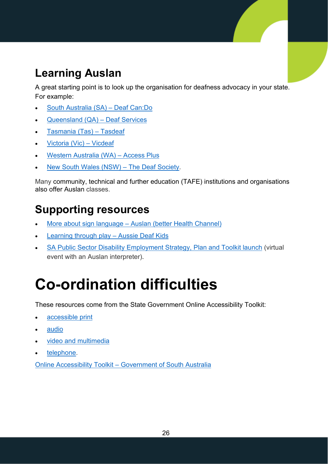### **Learning Auslan**

A great starting point is to look up the organisation for deafness advocacy in your state. For example:

- [South Australia \(SA\) –](http://www.deafcando.com.au/) Deaf Can:Do
- [Queensland \(QA\) –](https://www.deafservices.org.au/Services/Education) Deaf Services
- [Tasmania \(Tas\)](http://tasdeaf.org.au/Auslan) Tasdeaf
- [Victoria \(Vic\) –](http://www.vicdeaf.com.au/) Vicdeaf
- [Western Australia \(WA\) –](https://accessplus.org.au/auslan-training/) Access Plus
- [New South Wales \(NSW\) –](https://courses1.deafsocietynsw.org.au/beginner-courses/) The Deaf Society.

Many community, technical and further education (TAFE) institutions and organisations also offer Auslan classes.

### **Supporting resources**

- More about sign language [Auslan \(better Health Channel\)](https://www.betterhealth.vic.gov.au/health/conditionsandtreatments/sign-language-auslan)
- [Learning through play](https://www.aussiedeafkids.org.au/learning-through-play.html) Aussie Deaf Kids
- [SA Public Sector Disability Employment Strategy, Plan and Toolkit launch](https://www.publicsector.sa.gov.au/Employment-Programs/disability-employment) (virtual event with an Auslan interpreter).

## <span id="page-26-0"></span>**Co-ordination difficulties**

These resources come from the State Government Online Accessibility Toolkit:

- [accessible print](https://www.accessibility.sa.gov.au/your-role/content/documents/accessible-print-publications)
- [audio](https://www.accessibility.sa.gov.au/your-role/content/audio)
- [video and multimedia](https://www.accessibility.sa.gov.au/your-role/content/video-and-multimedia)
- [telephone.](https://www.accessibility.sa.gov.au/your-role/content/telephone)

Online Accessibility Toolkit – [Government of South Australia](https://www.accessibility.sa.gov.au/your-role/content)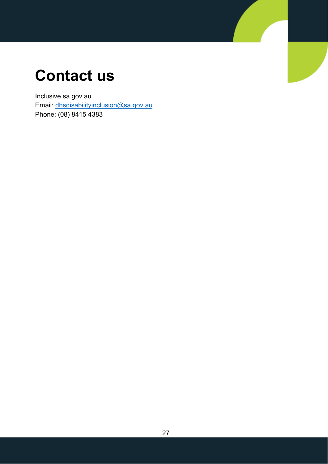## <span id="page-27-0"></span>**Contact us**

Inclusive.sa.gov.au Email: [dhsdisabilityinclusion@sa.gov.au](mailto:dhsdisabilityinclusion@sa.gov.au) Phone: (08) 8415 4383